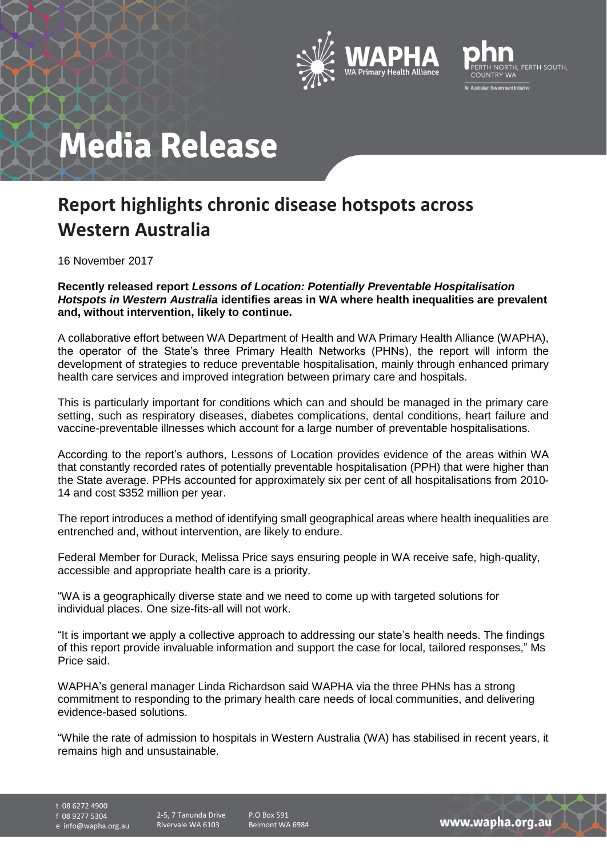



## **Media Release**

## **Report highlights chronic disease hotspots across Western Australia**

16 November 2017

**Recently released report** *Lessons of Location: Potentially Preventable Hospitalisation Hotspots in Western Australia* **identifies areas in WA where health inequalities are prevalent and, without intervention, likely to continue.** 

A collaborative effort between WA Department of Health and WA Primary Health Alliance (WAPHA), the operator of the State's three Primary Health Networks (PHNs), the report will inform the development of strategies to reduce preventable hospitalisation, mainly through enhanced primary health care services and improved integration between primary care and hospitals.

This is particularly important for conditions which can and should be managed in the primary care setting, such as respiratory diseases, diabetes complications, dental conditions, heart failure and vaccine-preventable illnesses which account for a large number of preventable hospitalisations.

According to the report's authors, Lessons of Location provides evidence of the areas within WA that constantly recorded rates of potentially preventable hospitalisation (PPH) that were higher than the State average. PPHs accounted for approximately six per cent of all hospitalisations from 2010- 14 and cost \$352 million per year.

The report introduces a method of identifying small geographical areas where health inequalities are entrenched and, without intervention, are likely to endure.

Federal Member for Durack, Melissa Price says ensuring people in WA receive safe, high-quality, accessible and appropriate health care is a priority.

"WA is a geographically diverse state and we need to come up with targeted solutions for individual places. One size-fits-all will not work.

"It is important we apply a collective approach to addressing our state's health needs. The findings of this report provide invaluable information and support the case for local, tailored responses," Ms Price said.

WAPHA's general manager Linda Richardson said WAPHA via the three PHNs has a strong commitment to responding to the primary health care needs of local communities, and delivering evidence-based solutions.

"While the rate of admission to hospitals in Western Australia (WA) has stabilised in recent years, it remains high and unsustainable.

t 08 6272 4900

f 08 9277 5304

e info@wapha.org.au

P.O Box 591 Belmont WA 6984

www.wapha.org.au